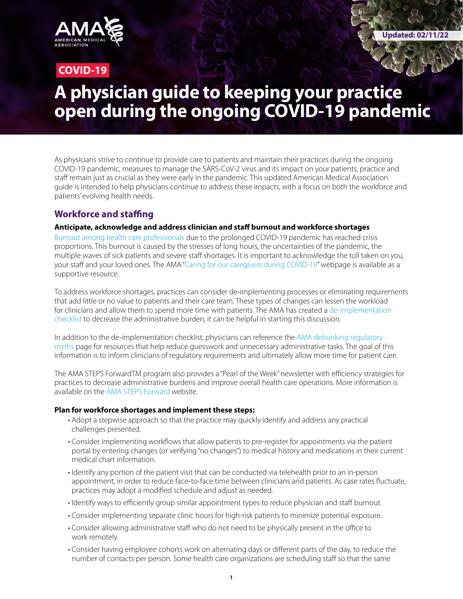

## **COVID-19**

# **A physician guide to keeping your practice open during the ongoing COVID-19 pandemic**

As physicians strive to continue to provide care to patients and maintain their practices during the ongoing COVID-19 pandemic, measures to manage the SARS-CoV-2 virus and its impact on your patients, practice and staff remain just as crucial as they were early in the pandemic. This updated American Medical Association guide is intended to help physicians continue to address these impacts, with a focus on both the workforce and patients' evolving health needs.

## **Workforce and staffing**

## **Anticipate, acknowledge and address clinician and staff burnout and workforce shortages**

[Burnout among health care professionals](https://pubmed.ncbi.nlm.nih.gov/29101932/) due to the prolonged COVID-19 pandemic has reached crisis proportions. This burnout is caused by the stresses of long hours, the uncertainties of the pandemic, the multiple waves of sick patients and severe staff shortages. It is important to acknowledge the toll taken on you, your staff and your loved ones. The AMA ["Caring for our caregivers during COVID-19"](https://www.ama-assn.org/delivering-care/public-health/caring-our-caregivers-during-covid-19) webpage is available as a supportive resource.

To address workforce shortages, practices can consider de-implementing processes or eliminating requirements that add little or no value to patients and their care team. These types of changes can lessen the workload for clinicians and allow them to spend more time with patients. The AMA has created a de-implementation [checklist](https://www.ama-assn.org/system/files/2021-02/de-implementation-checklist.pdf) to decrease the administrative burden; it can be helpful in starting this discussion.

In addition to the de-implementation checklist, physicians can reference the [AMA debunking regulatory](https://www.ama-assn.org/practice-management/sustainability/debunking-regulatory-myths)  [myths](https://www.ama-assn.org/practice-management/sustainability/debunking-regulatory-myths) page for resources that help reduce guesswork and unnecessary administrative tasks. The goal of this information is to inform clinicians of regulatory requirements and ultimately allow more time for patient care.

The AMA STEPS ForwardTM program also provides a "Pearl of the Week" newsletter with efficiency strategies for practices to decrease administrative burdens and improve overall health care operations. More information is available on the [AMA STEPS Forward](https://edhub.ama-assn.org/steps-forward) website.

## **Plan for workforce shortages and implement these steps:**

- Adopt a stepwise approach so that the practice may quickly identify and address any practical challenges presented.
- Consider implementing workflows that allow patients to pre-register for appointments via the patient portal by entering changes (or verifying "no changes") to medical history and medications in their current medical chart information.
- Identify any portion of the patient visit that can be conducted via telehealth prior to an in-person appointment, in order to reduce face-to-face time between clinicians and patients. As case rates fluctuate, practices may adopt a modified schedule and adjust as needed.
- Identify ways to efficiently group similar appointment types to reduce physician and staff burnout.
- Consider implementing separate clinic hours for high-risk patients to minimize potential exposure.
- Consider allowing administrative staff who do not need to be physically present in the office to work remotely.
- Consider having employee cohorts work on alternating days or different parts of the day, to reduce the number of contacts per person. Some health care organizations are scheduling staff so that the same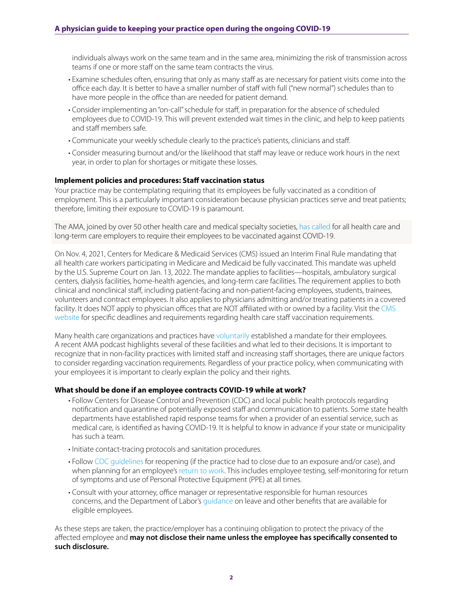individuals always work on the same team and in the same area, minimizing the risk of transmission across teams if one or more staff on the same team contracts the virus.

- Examine schedules often, ensuring that only as many staff as are necessary for patient visits come into the office each day. It is better to have a smaller number of staff with full ("new normal") schedules than to have more people in the office than are needed for patient demand.
- Consider implementing an "on-call" schedule for staff, in preparation for the absence of scheduled employees due to COVID-19. This will prevent extended wait times in the clinic, and help to keep patients and staff members safe.
- Communicate your weekly schedule clearly to the practice's patients, clinicians and staff.
- Consider measuring burnout and/or the likelihood that staff may leave or reduce work hours in the next year, in order to plan for shortages or mitigate these losses.

## **Implement policies and procedures: Staff vaccination status**

Your practice may be contemplating requiring that its employees be fully vaccinated as a condition of employment. This is a particularly important consideration because physician practices serve and treat patients; therefore, limiting their exposure to COVID-19 is paramount.

The AMA, joined by over 50 other health care and medical specialty societies, [has called](https://www.ama-assn.org/press-center/press-releases/ama-support-covid-19-vaccine-mandates-health-care-workers) for all health care and long-term care employers to require their employees to be vaccinated against COVID-19.

On Nov. 4, 2021, Centers for Medicare & Medicaid Services (CMS) issued an Interim Final Rule mandating that all health care workers participating in Medicare and Medicaid be fully vaccinated. This mandate was upheld by the U.S. Supreme Court on Jan. 13, 2022. The mandate applies to facilities—hospitals, ambulatory surgical centers, dialysis facilities, home-health agencies, and long-term care facilities. The requirement applies to both clinical and nonclinical staff, including patient-facing and non-patient-facing employees, students, trainees, volunteers and contract employees. It also applies to physicians admitting and/or treating patients in a covered facility. It does NOT apply to physician offices that are NOT affiliated with or owned by a facility. Visit the [CMS](https://www.cms.gov/medicareprovider-enrollment-and-certificationsurveycertificationgeninfopolicy-and-memos-states-and/guidance-interim-final-rule-medicare-and-medicaid-programs-omnibus-covid-19-health-care-staff-0)  [website](https://www.cms.gov/medicareprovider-enrollment-and-certificationsurveycertificationgeninfopolicy-and-memos-states-and/guidance-interim-final-rule-medicare-and-medicaid-programs-omnibus-covid-19-health-care-staff-0) for specific deadlines and requirements regarding health care staff vaccination requirements.

Many health care organizations and practices have [voluntarily](https://www.ama-assn.org/delivering-care/public-health/health-system-leaders-navigating-vaccine-mandates) established a mandate for their employees. A recent AMA podcast highlights several of these facilities and what led to their decisions. It is important to recognize that in non-facility practices with limited staff and increasing staff shortages, there are unique factors to consider regarding vaccination requirements. Regardless of your practice policy, when communicating with your employees it is important to clearly explain the policy and their rights.

#### **What should be done if an employee contracts COVID-19 while at work?**

- Follow Centers for Disease Control and Prevention (CDC) and local public health protocols regarding notification and quarantine of potentially exposed staff and communication to patients. Some state health departments have established rapid response teams for when a provider of an essential service, such as medical care, is identified as having COVID-19. It is helpful to know in advance if your state or municipality has such a team.
- Initiate contact-tracing protocols and sanitation procedures.
- Follow [CDC guidelines](https://www.cdc.gov/coronavirus/2019-ncov/hcp/guidance-risk-assesment-hcp.html?CDC_AA_refVal=https%3A%2F%2Fwww.cdc.gov%2Fcoronavirus%2F2019-ncov%2Fhcp%2Freturn-to-work.html) for reopening (if the practice had to close due to an exposure and/or case), and when planning for an employee's [return to work.](https://www.cdc.gov/coronavirus/2019-ncov/hcp/guidance-risk-assesment-hcp.html?CDC_AA_refVal=https%3A%2F%2Fwww.cdc.gov%2Fcoronavirus%2F2019-ncov%2Fhcp%2Freturn-to-work.html) This includes employee testing, self-monitoring for return of symptoms and use of Personal Protective Equipment (PPE) at all times.
- Consult with your attorney, office manager or representative responsible for human resources concerns, and the Department of Labor's [guidance](https://www.dol.gov/agencies/whd/pandemic/ffcra-questions) on leave and other benefits that are available for eligible employees.

As these steps are taken, the practice/employer has a continuing obligation to protect the privacy of the affected employee and **may not disclose their name unless the employee has specifically consented to such disclosure.**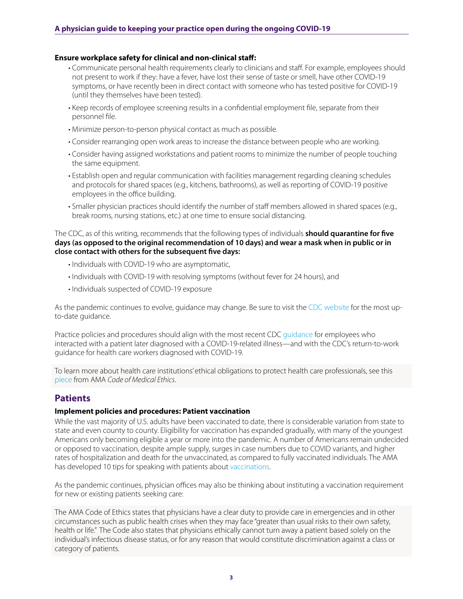## **Ensure workplace safety for clinical and non-clinical staff:**

- Communicate personal health requirements clearly to clinicians and staff. For example, employees should not present to work if they: have a fever, have lost their sense of taste or smell, have other COVID-19 symptoms, or have recently been in direct contact with someone who has tested positive for COVID-19 (until they themselves have been tested).
- Keep records of employee screening results in a confidential employment file, separate from their personnel file.
- Minimize person-to-person physical contact as much as possible.
- Consider rearranging open work areas to increase the distance between people who are working.
- Consider having assigned workstations and patient rooms to minimize the number of people touching the same equipment.
- Establish open and regular communication with facilities management regarding cleaning schedules and protocols for shared spaces (e.g., kitchens, bathrooms), as well as reporting of COVID-19 positive employees in the office building.
- Smaller physician practices should identify the number of staff members allowed in shared spaces (e.g., break rooms, nursing stations, etc.) at one time to ensure social distancing.

The CDC, as of this writing, recommends that the following types of individuals **should quarantine for five days (as opposed to the original recommendation of 10 days) and wear a mask when in public or in close contact with others for the subsequent five days:** 

- Individuals with COVID-19 who are asymptomatic,
- Individuals with COVID-19 with resolving symptoms (without fever for 24 hours), and
- Individuals suspected of COVID-19 exposure

As the pandemic continues to evolve, guidance may change. Be sure to visit the [CDC website](https://www.cdc.gov/media/releases/2021/s1227-isolation-quarantine-guidance.html) for the most upto-date guidance.

Practice policies and procedures should align with the most recent CDC [guidance](https://www.cdc.gov/coronavirus/2019-ncov/hcp/guidance-risk-assesment-hcp.html?CDC_AA_refVal=https%3A%2F%2Fwww.cdc.gov%2Fcoronavirus%2F2019-ncov%2Fhcp%2Freturn-to-work.html) for employees who interacted with a patient later diagnosed with a COVID-19-related illness—and with the CDC's return-to-work guidance for health care workers diagnosed with COVID-19.

To learn more about health care institutions' ethical obligations to protect health care professionals, see this [piece](https://www.ama-assn.org/delivering-care/ethics/obligations-protect-health-care-professionals) from AMA *Code of Medical Ethics*.

## **Patients**

## **Implement policies and procedures: Patient vaccination**

While the vast majority of U.S. adults have been vaccinated to date, there is considerable variation from state to state and even county to county. Eligibility for vaccination has expanded gradually, with many of the youngest Americans only becoming eligible a year or more into the pandemic. A number of Americans remain undecided or opposed to vaccination, despite ample supply, surges in case numbers due to COVID variants, and higher rates of hospitalization and death for the unvaccinated, as compared to fully vaccinated individuals. The AMA has developed 10 tips for speaking with patients about [vaccinations](https://www.ama-assn.org/delivering-care/public-health/covid-19-vaccine-hesitancy-10-tips-talking-patients
).

As the pandemic continues, physician offices may also be thinking about instituting a vaccination requirement for new or existing patients seeking care:

The AMA Code of Ethics states that physicians have a clear duty to provide care in emergencies and in other circumstances such as public health crises when they may face "greater than usual risks to their own safety, health or life." The Code also states that physicians ethically cannot turn away a patient based solely on the individual's infectious disease status, or for any reason that would constitute discrimination against a class or category of patients.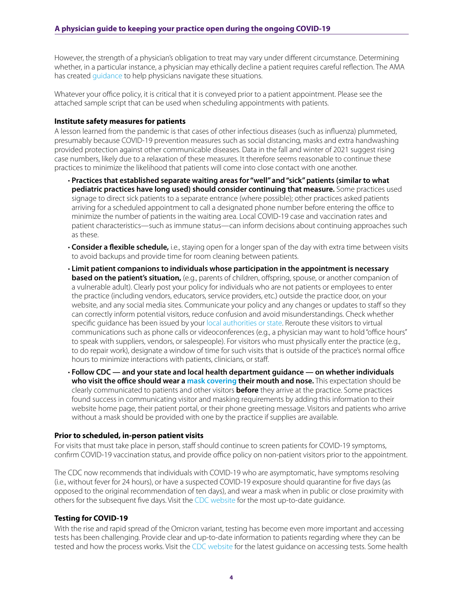However, the strength of a physician's obligation to treat may vary under different circumstance. Determining whether, in a particular instance, a physician may ethically decline a patient requires careful reflection. The AMA has created [guidance](https://www.ama-assn.org/delivering-care/ethics/can-physicians-decline-unvaccinated-patients) to help physicians navigate these situations.

Whatever your office policy, it is critical that it is conveyed prior to a patient appointment. Please see the attached sample script that can be used when scheduling appointments with patients.

#### **Institute safety measures for patients**

A lesson learned from the pandemic is that cases of other infectious diseases (such as influenza) plummeted, presumably because COVID-19 prevention measures such as social distancing, masks and extra handwashing provided protection against other communicable diseases. Data in the fall and winter of 2021 suggest rising case numbers, likely due to a relaxation of these measures. It therefore seems reasonable to continue these practices to minimize the likelihood that patients will come into close contact with one another.

- **Practices that established separate waiting areas for "well" and "sick" patients (similar to what pediatric practices have long used) should consider continuing that measure.** Some practices used signage to direct sick patients to a separate entrance (where possible); other practices asked patients arriving for a scheduled appointment to call a designated phone number before entering the office to minimize the number of patients in the waiting area. Local COVID-19 case and vaccination rates and patient characteristics—such as immune status—can inform decisions about continuing approaches such as these.
- **Consider a flexible schedule,** i.e., staying open for a longer span of the day with extra time between visits to avoid backups and provide time for room cleaning between patients.
- **Limit patient companions to individuals whose participation in the appointment is necessary based on the patient's situation,** (e.g., parents of children, offspring, spouse, or another companion of a vulnerable adult). Clearly post your policy for individuals who are not patients or employees to enter the practice (including vendors, educators, service providers, etc.) outside the practice door, on your website, and any social media sites. Communicate your policy and any changes or updates to staff so they can correctly inform potential visitors, reduce confusion and avoid misunderstandings. Check whether specific guidance has been issued by your [local authorities or state](https://www.cdc.gov/coronavirus/2019-ncov/php/hd-search/index.html). Reroute these visitors to virtual communications such as phone calls or videoconferences (e.g., a physician may want to hold "office hours" to speak with suppliers, vendors, or salespeople). For visitors who must physically enter the practice (e.g., to do repair work), designate a window of time for such visits that is outside of the practice's normal office hours to minimize interactions with patients, clinicians, or staff.
- **Follow CDC and your state and local health department guidance on whether individuals who visit the office should wear a [mask covering](https://www.cdc.gov/coronavirus/2019-ncov/prevent-getting-sick/about-face-coverings.html) their mouth and nose.** This expectation should be clearly communicated to patients and other visitors **before** they arrive at the practice. Some practices found success in communicating visitor and masking requirements by adding this information to their website home page, their patient portal, or their phone greeting message. Visitors and patients who arrive without a mask should be provided with one by the practice if supplies are available.

## **Prior to scheduled, in-person patient visits**

For visits that must take place in person, staff should continue to screen patients for COVID-19 symptoms, confirm COVID-19 vaccination status, and provide office policy on non-patient visitors prior to the appointment.

The CDC now recommends that individuals with COVID-19 who are asymptomatic, have symptoms resolving (i.e., without fever for 24 hours), or have a suspected COVID-19 exposure should quarantine for five days (as opposed to the original recommendation of ten days), and wear a mask when in public or close proximity with others for the subsequent five days. Visit the [CDC website](https://www.cdc.gov/media/releases/2021/s1227-isolation-quarantine-guidance.html) for the most up-to-date guidance.

## **Testing for COVID-19**

With the rise and rapid spread of the Omicron variant, testing has become even more important and accessing tests has been challenging. Provide clear and up-to-date information to patients regarding where they can be tested and how the process works. Visit the [CDC website](https://www.cdc.gov/coronavirus/2019-ncov/testing/index.html) for the latest guidance on accessing tests. Some health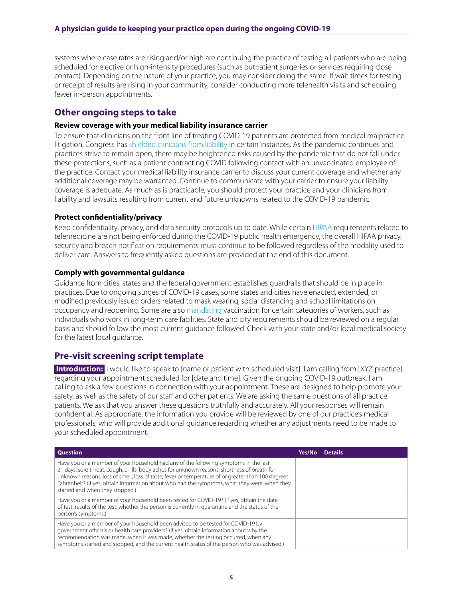systems where case rates are rising and/or high are continuing the practice of testing all patients who are being scheduled for elective or high-intensity procedures (such as outpatient surgeries or services requiring close contact). Depending on the nature of your practice, you may consider doing the same. If wait times for testing or receipt of results are rising in your community, consider conducting more telehealth visits and scheduling fewer in-person appointments.

## **Other ongoing steps to take**

## **Review coverage with your medical liability insurance carrier**

To ensure that clinicians on the front line of treating COVID-19 patients are protected from medical malpractice litigation, Congress has [shielded clinicians from liability](https://www.ama-assn.org/practice-management/sustainability/liability-protections-health-care-professionals-during-covid-19) in certain instances. As the pandemic continues and practices strive to remain open, there may be heightened risks caused by the pandemic that do not fall under these protections, such as a patient contracting COVID following contact with an unvaccinated employee of the practice. Contact your medical liability insurance carrier to discuss your current coverage and whether any additional coverage may be warranted. Continue to communicate with your carrier to ensure your liability coverage is adequate. As much as is practicable, you should protect your practice and your clinicians from liability and lawsuits resulting from current and future unknowns related to the COVID-19 pandemic.

## **Protect confidentiality/privacy**

Keep confidentiality, privacy, and data security protocols up to date. While certain [HIPAA](https://www.ama-assn.org/practice-management/hipaa) requirements related to telemedicine are not being enforced during the COVID-19 public health emergency, the overall HIPAA privacy, security and breach notification requirements must continue to be followed regardless of the modality used to deliver care. Answers to frequently asked questions are provided at the end of this document.

## **Comply with governmental guidance**

Guidance from cities, states and the federal government establishes guardrails that should be in place in practices. Due to ongoing surges of COVID-19 cases, some states and cities have enacted, extended, or modified previously issued orders related to mask wearing, social distancing and school limitations on occupancy and reopening. Some are also [mandating](https://www.jdsupra.com/legalnews/supreme-court-blocks-biden-vaccine-7715160/) vaccination for certain categories of workers, such as individuals who work in long-term care facilities. State and city requirements should be reviewed on a regular basis and should follow the most current guidance followed. Check with your state and/or local medical society for the latest local guidance.

## **Pre-visit screening script template**

**Introduction:** I would like to speak to [name or patient with scheduled visit]. I am calling from [XYZ practice] regarding your appointment scheduled for [date and time]. Given the ongoing COVID-19 outbreak, I am calling to ask a few questions in connection with your appointment. These are designed to help promote your safety, as well as the safety of our staff and other patients. We are asking the same questions of all practice patients. We ask that you answer these questions truthfully and accurately. All your responses will remain confidential. As appropriate, the information you provide will be reviewed by one of our practice's medical professionals, who will provide additional guidance regarding whether any adjustments need to be made to your scheduled appointment.

| <b>Question</b>                                                                                                                                                                                                                                                                                                                                                                                                                | Yes/No | <b>Details</b> |
|--------------------------------------------------------------------------------------------------------------------------------------------------------------------------------------------------------------------------------------------------------------------------------------------------------------------------------------------------------------------------------------------------------------------------------|--------|----------------|
| Have you or a member of your household had any of the following symptoms in the last<br>21 days: sore throat, cough, chills, body aches for unknown reasons, shortness of breath for<br>unknown reasons, loss of smell, loss of taste, fever or temperature of or greater than 100 degrees<br>Fahrenheit? (If yes, obtain information about who had the symptoms, what they were, when they<br>started and when they stopped.) |        |                |
| Have you or a member of your household been tested for COVID-19? (If yes, obtain the date<br>of test, results of the test, whether the person is currently in quarantine and the status of the<br>person's symptoms.)                                                                                                                                                                                                          |        |                |
| Have you or a member of your household been advised to be tested for COVID-19 by<br>government officials or health care providers? (If yes, obtain information about why the<br>recommendation was made, when it was made, whether the testing occurred, when any<br>symptoms started and stopped, and the current health status of the person who was advised.)                                                               |        |                |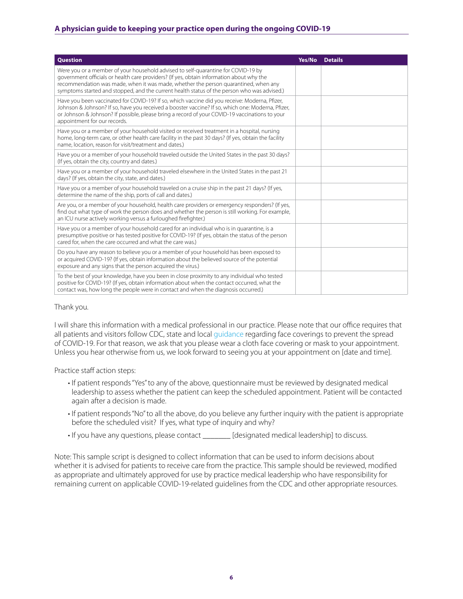## **A physician guide to keeping your practice open during the ongoing COVID-19**

| <b>Question</b>                                                                                                                                                                                                                                                                                                                                                     | Yes/No | <b>Details</b> |
|---------------------------------------------------------------------------------------------------------------------------------------------------------------------------------------------------------------------------------------------------------------------------------------------------------------------------------------------------------------------|--------|----------------|
| Were you or a member of your household advised to self-quarantine for COVID-19 by<br>government officials or health care providers? (If yes, obtain information about why the<br>recommendation was made, when it was made, whether the person quarantined, when any<br>symptoms started and stopped, and the current health status of the person who was advised.) |        |                |
| Have you been vaccinated for COVID-19? If so, which vaccine did you receive: Moderna, Pfizer,<br>Johnson & Johnson? If so, have you received a booster vaccine? If so, which one: Moderna, Pfizer,<br>or Johnson & Johnson? If possible, please bring a record of your COVID-19 vaccinations to your<br>appointment for our records.                                |        |                |
| Have you or a member of your household visited or received treatment in a hospital, nursing<br>home, long-term care, or other health care facility in the past 30 days? (If yes, obtain the facility<br>name. location, reason for visit/treatment and dates.)                                                                                                      |        |                |
| Have you or a member of your household traveled outside the United States in the past 30 days?<br>(If yes, obtain the city, country and dates.)                                                                                                                                                                                                                     |        |                |
| Have you or a member of your household traveled elsewhere in the United States in the past 21<br>days? (If yes, obtain the city, state, and dates.)                                                                                                                                                                                                                 |        |                |
| Have you or a member of your household traveled on a cruise ship in the past 21 days? (If yes,<br>determine the name of the ship, ports of call and dates.)                                                                                                                                                                                                         |        |                |
| Are you, or a member of your household, health care providers or emergency responders? (If yes,<br>find out what type of work the person does and whether the person is still working. For example,<br>an ICU nurse actively working versus a furloughed firefighter.)                                                                                              |        |                |
| Have you or a member of your household cared for an individual who is in quarantine, is a<br>presumptive positive or has tested positive for COVID-19? (If yes, obtain the status of the person<br>cared for, when the care occurred and what the care was.)                                                                                                        |        |                |
| Do you have any reason to believe you or a member of your household has been exposed to<br>or acquired COVID-19? (If yes, obtain information about the believed source of the potential<br>exposure and any signs that the person acquired the virus.)                                                                                                              |        |                |
| To the best of your knowledge, have you been in close proximity to any individual who tested<br>positive for COVID-19? (If yes, obtain information about when the contact occurred, what the<br>contact was, how long the people were in contact and when the diagnosis occurred.)                                                                                  |        |                |

## Thank you.

I will share this information with a medical professional in our practice. Please note that our office requires that all patients and visitors follow CDC, state and local [guidance](https://www.cdc.gov/coronavirus/2019-ncov/prevent-getting-sick/masks.html?CDC_AA_refVal=https%3A%2F%2Fwww.cdc.gov%2Fcoronavirus%2F2019-ncov%2Fprevent-getting-sick%2Fdiy-cloth-face-coverings.html) regarding face coverings to prevent the spread of COVID-19. For that reason, we ask that you please wear a cloth face covering or mask to your appointment. Unless you hear otherwise from us, we look forward to seeing you at your appointment on [date and time].

Practice staff action steps:

- If patient responds "Yes" to any of the above, questionnaire must be reviewed by designated medical leadership to assess whether the patient can keep the scheduled appointment. Patient will be contacted again after a decision is made.
- If patient responds "No" to all the above, do you believe any further inquiry with the patient is appropriate before the scheduled visit? If yes, what type of inquiry and why?
- If you have any questions, please contact \_\_\_\_\_\_\_ [designated medical leadership] to discuss.

Note: This sample script is designed to collect information that can be used to inform decisions about whether it is advised for patients to receive care from the practice. This sample should be reviewed, modified as appropriate and ultimately approved for use by practice medical leadership who have responsibility for remaining current on applicable COVID-19-related guidelines from the CDC and other appropriate resources.